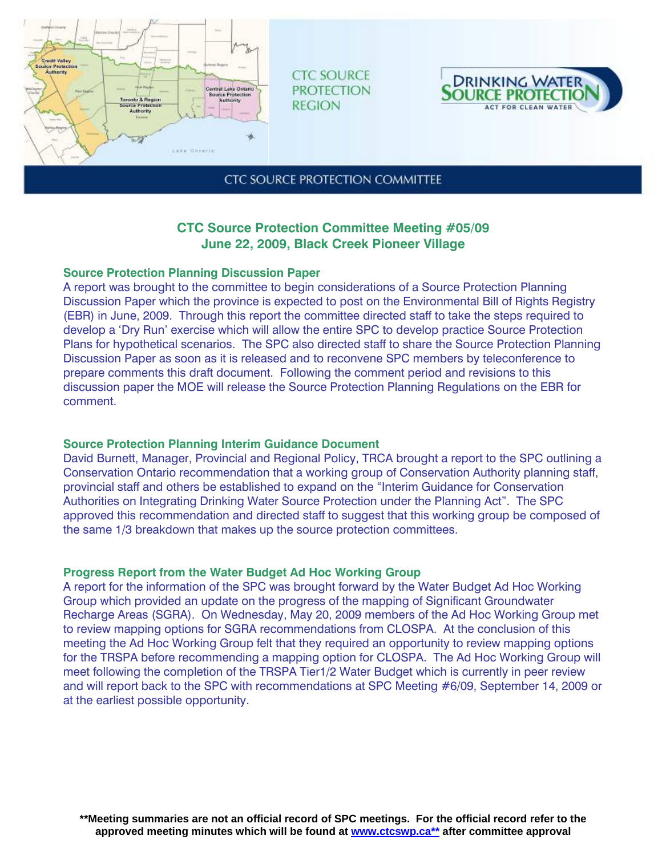

**CTC SOURCE PROTECTION REGION** 



## **CTC SOURCE PROTECTION COMMITTEE**

# **CTC Source Protection Committee Meeting #05/09 June 22, 2009, Black Creek Pioneer Village**

### **Source Protection Planning Discussion Paper**

A report was brought to the committee to begin considerations of a Source Protection Planning Discussion Paper which the province is expected to post on the Environmental Bill of Rights Registry (EBR) in June, 2009. Through this report the committee directed staff to take the steps required to develop a 'Dry Run' exercise which will allow the entire SPC to develop practice Source Protection Plans for hypothetical scenarios. The SPC also directed staff to share the Source Protection Planning Discussion Paper as soon as it is released and to reconvene SPC members by teleconference to prepare comments this draft document. Following the comment period and revisions to this discussion paper the MOE will release the Source Protection Planning Regulations on the EBR for comment.

## **Source Protection Planning Interim Guidance Document**

David Burnett, Manager, Provincial and Regional Policy, TRCA brought a report to the SPC outlining a Conservation Ontario recommendation that a working group of Conservation Authority planning staff, provincial staff and others be established to expand on the "Interim Guidance for Conservation Authorities on Integrating Drinking Water Source Protection under the Planning Act". The SPC approved this recommendation and directed staff to suggest that this working group be composed of the same 1/3 breakdown that makes up the source protection committees.

## **Progress Report from the Water Budget Ad Hoc Working Group**

A report for the information of the SPC was brought forward by the Water Budget Ad Hoc Working Group which provided an update on the progress of the mapping of Significant Groundwater Recharge Areas (SGRA). On Wednesday, May 20, 2009 members of the Ad Hoc Working Group met to review mapping options for SGRA recommendations from CLOSPA. At the conclusion of this meeting the Ad Hoc Working Group felt that they required an opportunity to review mapping options for the TRSPA before recommending a mapping option for CLOSPA. The Ad Hoc Working Group will meet following the completion of the TRSPA Tier1/2 Water Budget which is currently in peer review and will report back to the SPC with recommendations at SPC Meeting #6/09, September 14, 2009 or at the earliest possible opportunity.